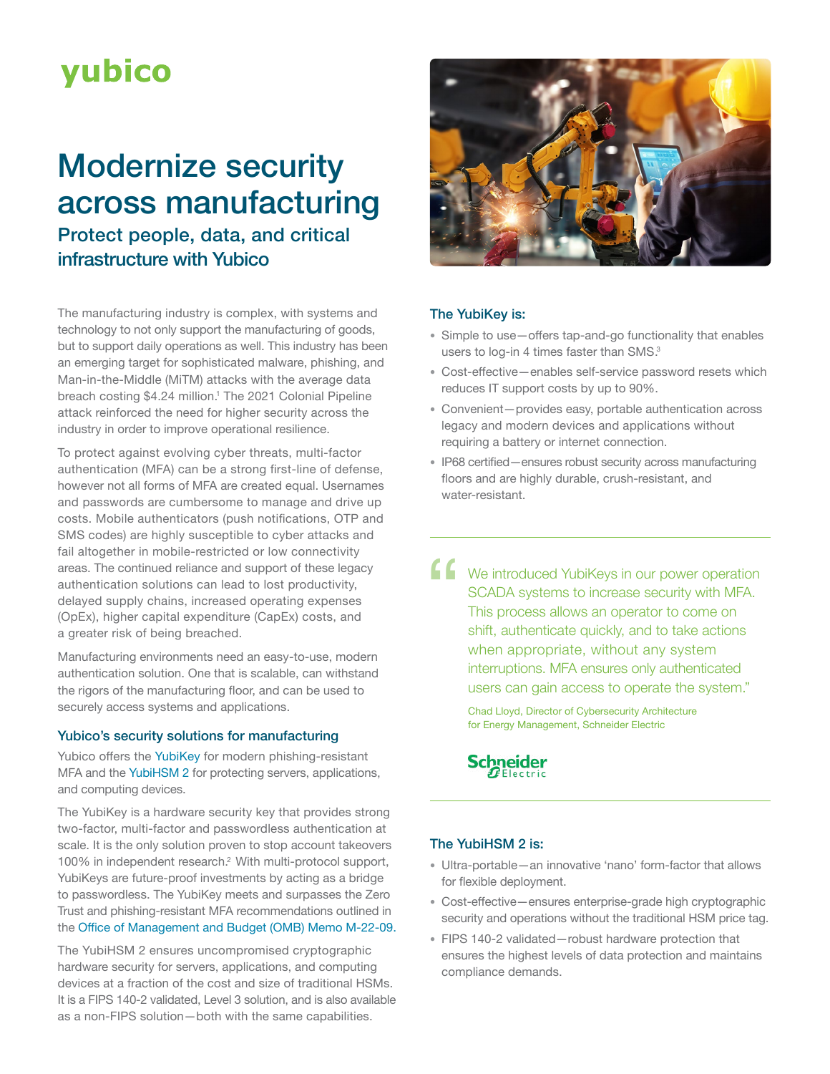# **yubico**

# Modernize security across manufacturing Protect people, data, and critical infrastructure with Yubico

The manufacturing industry is complex, with systems and technology to not only support the manufacturing of goods, but to support daily operations as well. This industry has been an emerging target for sophisticated malware, phishing, and Man-in-the-Middle (MiTM) attacks with the average data breach costing \$4.24 million.<sup>1</sup> The 2021 Colonial Pipeline attack reinforced the need for higher security across the industry in order to improve operational resilience.

To protect against evolving cyber threats, multi-factor authentication (MFA) can be a strong first-line of defense, however not all forms of MFA are created equal. Usernames and passwords are cumbersome to manage and drive up costs. Mobile authenticators (push notifications, OTP and SMS codes) are highly susceptible to cyber attacks and fail altogether in mobile-restricted or low connectivity areas. The continued reliance and support of these legacy authentication solutions can lead to lost productivity, delayed supply chains, increased operating expenses (OpEx), higher capital expenditure (CapEx) costs, and a greater risk of being breached.

Manufacturing environments need an easy-to-use, modern authentication solution. One that is scalable, can withstand the rigors of the manufacturing floor, and can be used to securely access systems and applications.

# Yubico's security solutions for manufacturing

Yubico offers the [YubiKey](https://www.yubico.com/products/) for modern phishing-resistant MFA and the [YubiHSM 2](https://www.yubico.com/products/hardware-security-module/) for protecting servers, applications, and computing devices.

The [YubiKey](https://www.yubico.com/products/) is a hardware security key that provides strong two-factor, multi-factor and passwordless authentication at scale. It is the only solution proven to stop account takeovers 100% in independent research.2 With multi-protocol support, YubiKeys are future-proof investments by acting as a bridge to passwordless. The YubiKey meets and surpasses the Zero Trust and phishing-resistant MFA recommendations outlined in the [Office of Management and Budget \(OMB\) Memo M-22-09.](https://www.whitehouse.gov/wp-content/uploads/2022/01/M-22-09.pdf)

The YubiHSM 2 ensures uncompromised cryptographic hardware security for servers, applications, and computing devices at a fraction of the cost and size of traditional HSMs. It is a FIPS 140-2 validated, Level 3 solution, and is also available as a non-FIPS solution—both with the same capabilities.



# The YubiKey is:

- Simple to use—offers tap-and-go functionality that enables users to log-in 4 times faster than SMS.<sup>3</sup>
- Cost-effective—enables self-service password resets which reduces IT support costs by up to 90%.
- Convenient—provides easy, portable authentication across legacy and modern devices and applications without requiring a battery or internet connection.
- IP68 certified—ensures robust security across manufacturing floors and are highly durable, crush-resistant, and water-resistant.

K We introduced YubiKeys in our power operation SCADA systems to increase security with MFA. This process allows an operator to come on shift, authenticate quickly, and to take actions when appropriate, without any system interruptions. MFA ensures only authenticated users can gain access to operate the system."

> Chad Lloyd, Director of Cybersecurity Architecture for Energy Management, Schneider Electric

**Schneider** 

# The YubiHSM 2 is:

- Ultra-portable—an innovative 'nano' form-factor that allows for flexible deployment.
- Cost-effective—ensures enterprise-grade high cryptographic security and operations without the traditional HSM price tag.
- FIPS 140-2 validated—robust hardware protection that ensures the highest levels of data protection and maintains compliance demands.